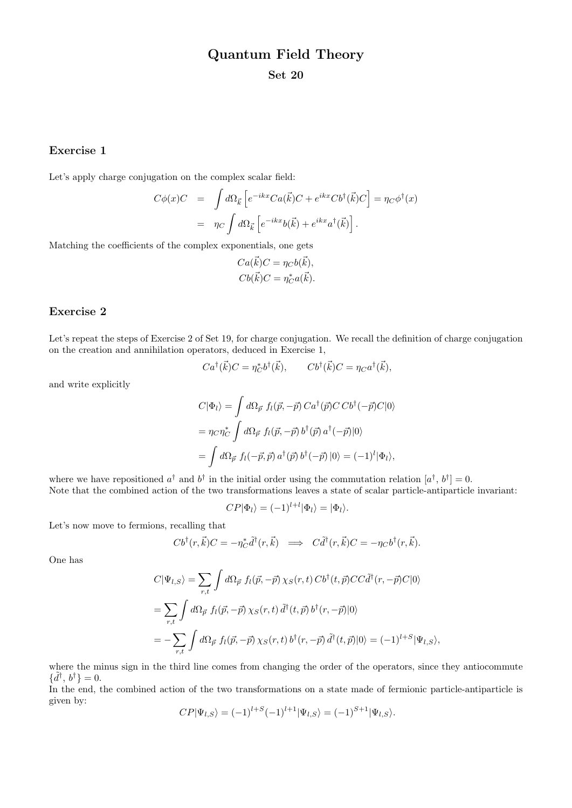# Quantum Field Theory

Set 20

### Exercise 1

Let's apply charge conjugation on the complex scalar field:

$$
C\phi(x)C = \int d\Omega_{\vec{k}} \left[ e^{-ikx} C a(\vec{k})C + e^{ikx} C b^{\dagger}(\vec{k})C \right] = \eta_C \phi^{\dagger}(x)
$$

$$
= \eta_C \int d\Omega_{\vec{k}} \left[ e^{-ikx} b(\vec{k}) + e^{ikx} a^{\dagger}(\vec{k}) \right].
$$

Matching the coefficients of the complex exponentials, one gets

$$
Ca(\vec{k})C = \eta_C b(\vec{k}),
$$
  

$$
Cb(\vec{k})C = \eta_C^*a(\vec{k}).
$$

## Exercise 2

Let's repeat the steps of Exercise 2 of Set 19, for charge conjugation. We recall the definition of charge conjugation on the creation and annihilation operators, deduced in Exercise 1,

$$
Ca^{\dagger}(\vec{k})C = \eta_C^* b^{\dagger}(\vec{k}), \qquad Cb^{\dagger}(\vec{k})C = \eta_C a^{\dagger}(\vec{k}),
$$

and write explicitly

$$
C|\Phi_l\rangle = \int d\Omega_{\vec{p}} f_l(\vec{p}, -\vec{p}) C a^\dagger(\vec{p}) C C b^\dagger(-\vec{p}) C|0\rangle
$$
  
= 
$$
\eta_C \eta_C^* \int d\Omega_{\vec{p}} f_l(\vec{p}, -\vec{p}) b^\dagger(\vec{p}) a^\dagger(-\vec{p}) |0\rangle
$$
  
= 
$$
\int d\Omega_{\vec{p}} f_l(-\vec{p}, \vec{p}) a^\dagger(\vec{p}) b^\dagger(-\vec{p}) |0\rangle = (-1)^l |\Phi_l\rangle,
$$

where we have repositioned  $a^{\dagger}$  and  $b^{\dagger}$  in the initial order using the commutation relation  $[a^{\dagger}, b^{\dagger}] = 0$ . Note that the combined action of the two transformations leaves a state of scalar particle-antiparticle invariant:

$$
CP|\Phi_l\rangle = (-1)^{l+l}|\Phi_l\rangle = |\Phi_l\rangle.
$$

Let's now move to fermions, recalling that

$$
Cb^{\dagger}(r,\vec{k})C=-\eta_{C}^*\tilde{d}^{\dagger}(r,\vec{k})\implies C\tilde{d}^{\dagger}(r,\vec{k})C=-\eta_{C}b^{\dagger}(r,\vec{k}).
$$

One has

$$
C|\Psi_{l,S}\rangle = \sum_{r,t} \int d\Omega_{\vec{p}} f_l(\vec{p}, -\vec{p}) \chi_S(r, t) C b^{\dagger}(t, \vec{p}) C C \tilde{d}^{\dagger}(r, -\vec{p}) C|0\rangle
$$
  
= 
$$
\sum_{r,t} \int d\Omega_{\vec{p}} f_l(\vec{p}, -\vec{p}) \chi_S(r, t) \tilde{d}^{\dagger}(t, \vec{p}) b^{\dagger}(r, -\vec{p})|0\rangle
$$
  
= 
$$
-\sum_{r,t} \int d\Omega_{\vec{p}} f_l(\vec{p}, -\vec{p}) \chi_S(r, t) b^{\dagger}(r, -\vec{p}) \tilde{d}^{\dagger}(t, \vec{p})|0\rangle = (-1)^{l+S} |\Psi_{l,S}\rangle,
$$

where the minus sign in the third line comes from changing the order of the operators, since they antiocommute  $\{\tilde{d}^{\dagger}, b^{\dagger}\} = 0.$ 

In the end, the combined action of the two transformations on a state made of fermionic particle-antiparticle is given by:

$$
CP|\Psi_{l,S}\rangle = (-1)^{l+S}(-1)^{l+1}|\Psi_{l,S}\rangle = (-1)^{S+1}|\Psi_{l,S}\rangle.
$$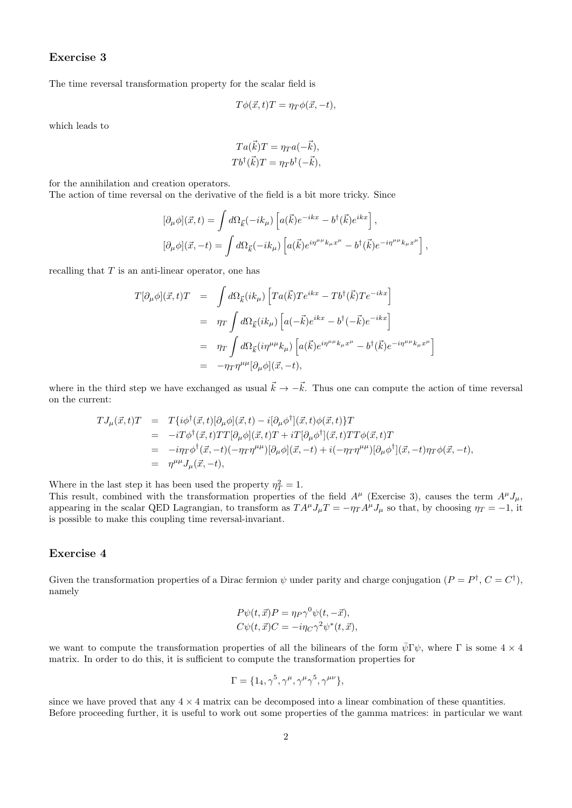## Exercise 3

The time reversal transformation property for the scalar field is

$$
T\phi(\vec{x},t)T = \eta_T\phi(\vec{x},-t),
$$

which leads to

$$
Ta(\vec{k})T = \eta_T a(-\vec{k}),
$$
  

$$
Tb^{\dagger}(\vec{k})T = \eta_T b^{\dagger}(-\vec{k}),
$$

for the annihilation and creation operators.

The action of time reversal on the derivative of the field is a bit more tricky. Since

$$
[\partial_{\mu}\phi](\vec{x},t) = \int d\Omega_{\vec{k}}(-ik_{\mu}) \left[ a(\vec{k})e^{-ikx} - b^{\dagger}(\vec{k})e^{ikx} \right],
$$
  

$$
[\partial_{\mu}\phi](\vec{x},-t) = \int d\Omega_{\vec{k}}(-ik_{\mu}) \left[ a(\vec{k})e^{i\eta^{\mu\mu}k_{\mu}x^{\mu}} - b^{\dagger}(\vec{k})e^{-i\eta^{\mu\mu}k_{\mu}x^{\mu}} \right],
$$

recalling that  $T$  is an anti-linear operator, one has

$$
T[\partial_{\mu}\phi](\vec{x},t)T = \int d\Omega_{\vec{k}}(ik_{\mu}) \left[ Ta(\vec{k})Te^{ikx} - Tb^{\dagger}(\vec{k})Te^{-ikx} \right]
$$
  

$$
= \eta_T \int d\Omega_{\vec{k}}(ik_{\mu}) \left[ a(-\vec{k})e^{ikx} - b^{\dagger}(-\vec{k})e^{-ikx} \right]
$$
  

$$
= \eta_T \int d\Omega_{\vec{k}}(i\eta^{\mu\mu}k_{\mu}) \left[ a(\vec{k})e^{i\eta^{\mu\mu}k_{\mu}x^{\mu}} - b^{\dagger}(\vec{k})e^{-i\eta^{\mu\mu}k_{\mu}x^{\mu}} \right]
$$
  

$$
= -\eta_T \eta^{\mu\mu} [\partial_{\mu}\phi](\vec{x},-t),
$$

where in the third step we have exchanged as usual  $\vec{k} \to -\vec{k}$ . Thus one can compute the action of time reversal on the current:

$$
T J_{\mu}(\vec{x},t)T = T\{i\phi^{\dagger}(\vec{x},t)[\partial_{\mu}\phi](\vec{x},t) - i[\partial_{\mu}\phi^{\dagger}](\vec{x},t)\phi(\vec{x},t)\}T
$$
  
\n
$$
= -iT\phi^{\dagger}(\vec{x},t)TT[\partial_{\mu}\phi](\vec{x},t)T + iT[\partial_{\mu}\phi^{\dagger}](\vec{x},t)TT\phi(\vec{x},t)T
$$
  
\n
$$
= -i\eta_{T}\phi^{\dagger}(\vec{x},-t)(-\eta_{T}\eta^{\mu\mu})[\partial_{\mu}\phi](\vec{x},-t) + i(-\eta_{T}\eta^{\mu\mu})[\partial_{\mu}\phi^{\dagger}](\vec{x},-t)\eta_{T}\phi(\vec{x},-t),
$$
  
\n
$$
= \eta^{\mu\mu}J_{\mu}(\vec{x},-t),
$$

Where in the last step it has been used the property  $\eta_T^2 = 1$ .

This result, combined with the transformation properties of the field  $A^{\mu}$  (Exercise 3), causes the term  $A^{\mu}J_{\mu}$ , appearing in the scalar QED Lagrangian, to transform as  $TA^{\mu}J_{\mu}T = -\eta_{T}A^{\mu}J_{\mu}$  so that, by choosing  $\eta_{T} = -1$ , it is possible to make this coupling time reversal-invariant.

#### Exercise 4

Given the transformation properties of a Dirac fermion  $\psi$  under parity and charge conjugation  $(P = P^{\dagger}, C = C^{\dagger})$ , namely

$$
P\psi(t, \vec{x})P = \eta_P \gamma^0 \psi(t, -\vec{x}),
$$
  
\n
$$
C\psi(t, \vec{x})C = -i\eta_C \gamma^2 \psi^*(t, \vec{x}),
$$

we want to compute the transformation properties of all the bilinears of the form  $\bar{\psi} \Gamma \psi$ , where  $\Gamma$  is some  $4 \times 4$ matrix. In order to do this, it is sufficient to compute the transformation properties for

$$
\Gamma = \{1_4, \gamma^5, \gamma^\mu, \gamma^\mu \gamma^5, \gamma^{\mu\nu}\},\
$$

since we have proved that any  $4 \times 4$  matrix can be decomposed into a linear combination of these quantities. Before proceeding further, it is useful to work out some properties of the gamma matrices: in particular we want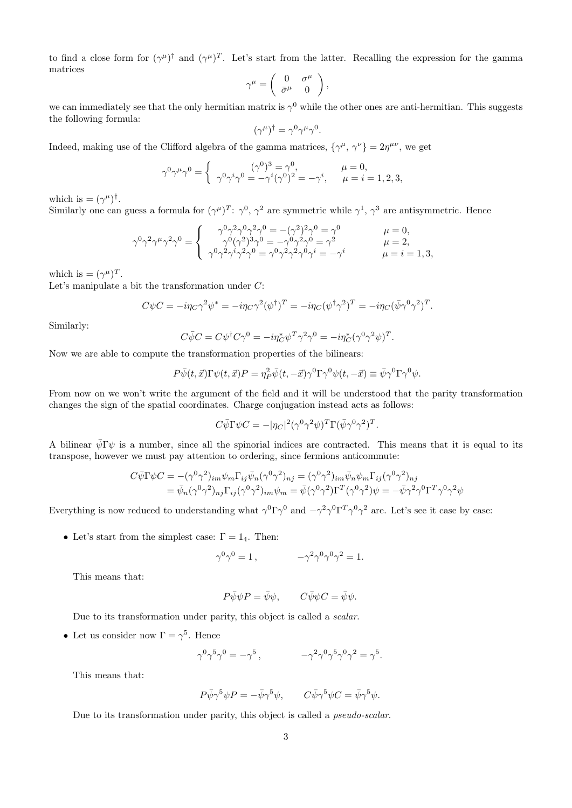to find a close form for  $(\gamma^{\mu})^{\dagger}$  and  $(\gamma^{\mu})^T$ . Let's start from the latter. Recalling the expression for the gamma matrices

$$
\gamma^{\mu} = \begin{pmatrix} 0 & \sigma^{\mu} \\ \bar{\sigma}^{\mu} & 0 \end{pmatrix},
$$

we can immediately see that the only hermitian matrix is  $\gamma^0$  while the other ones are anti-hermitian. This suggests the following formula:

$$
(\gamma^{\mu})^{\dagger} = \gamma^0 \gamma^{\mu} \gamma^0.
$$

Indeed, making use of the Clifford algebra of the gamma matrices,  $\{\gamma^{\mu}, \gamma^{\nu}\} = 2\eta^{\mu\nu}$ , we get

$$
\gamma^{0}\gamma^{\mu}\gamma^{0} = \begin{cases} \gamma^{0}\gamma^{i}\gamma^{0} = \gamma^{0}, & \mu = 0, \\ \gamma^{0}\gamma^{i}\gamma^{0} = -\gamma^{i}(\gamma^{0})^{2} = -\gamma^{i}, & \mu = i = 1, 2, 3, \end{cases}
$$

which is  $= (\gamma^{\mu})^{\dagger}$ .

Similarly one can guess a formula for  $(\gamma^{\mu})^T$ :  $\gamma^0$ ,  $\gamma^2$  are symmetric while  $\gamma^1$ ,  $\gamma^3$  are antisymmetric. Hence

$$
\gamma^{0}\gamma^{2}\gamma^{\mu}\gamma^{2}\gamma^{0} = \begin{cases}\n\gamma^{0}\gamma^{2}\gamma^{0}\gamma^{2}\gamma^{0} = -(\gamma^{2})^{2}\gamma^{0} = \gamma^{0} & \mu = 0, \\
\gamma^{0}(\gamma^{2})^{3}\gamma^{0} = -\gamma^{0}\gamma^{2}\gamma^{0} = \gamma^{2} & \mu = 2, \\
\gamma^{0}\gamma^{2}\gamma^{i}\gamma^{2}\gamma^{0} = \gamma^{0}\gamma^{2}\gamma^{2}\gamma^{0}\gamma^{i} = -\gamma^{i} & \mu = i = 1, 3,\n\end{cases}
$$

which is  $= (\gamma^{\mu})^T$ .

Let's manipulate a bit the transformation under C:

$$
C\psi C = -i\eta_C \gamma^2 \psi^* = -i\eta_C \gamma^2 (\psi^{\dagger})^T = -i\eta_C (\psi^{\dagger} \gamma^2)^T = -i\eta_C (\bar{\psi} \gamma^0 \gamma^2)^T.
$$

Similarly:

$$
C\bar{\psi}C = C\psi^{\dagger}C\gamma^{0} = -i\eta_{C}^{*}\psi^{T}\gamma^{2}\gamma^{0} = -i\eta_{C}^{*}(\gamma^{0}\gamma^{2}\psi)^{T}.
$$

Now we are able to compute the transformation properties of the bilinears:

$$
P\bar{\psi}(t,\vec{x})\Gamma\psi(t,\vec{x})P=\eta_P^2\bar{\psi}(t,-\vec{x})\gamma^0\Gamma\gamma^0\psi(t,-\vec{x})\equiv\bar{\psi}\gamma^0\Gamma\gamma^0\psi.
$$

From now on we won't write the argument of the field and it will be understood that the parity transformation changes the sign of the spatial coordinates. Charge conjugation instead acts as follows:

$$
C\bar{\psi}\Gamma\psi C = -|\eta_C|^2(\gamma^0\gamma^2\psi)^T\Gamma(\bar{\psi}\gamma^0\gamma^2)^T.
$$

A bilinear  $\bar{\psi} \Gamma \psi$  is a number, since all the spinorial indices are contracted. This means that it is equal to its transpose, however we must pay attention to ordering, since fermions anticommute:

$$
C\bar{\psi}\Gamma\psi C = -(\gamma^0\gamma^2)_{im}\psi_m\Gamma_{ij}\bar{\psi}_n(\gamma^0\gamma^2)_{nj} = (\gamma^0\gamma^2)_{im}\bar{\psi}_n\psi_m\Gamma_{ij}(\gamma^0\gamma^2)_{nj}
$$
  
= 
$$
\bar{\psi}_n(\gamma^0\gamma^2)_{nj}\Gamma_{ij}(\gamma^0\gamma^2)_{im}\psi_m = \bar{\psi}(\gamma^0\gamma^2)\Gamma^T(\gamma^0\gamma^2)\psi = -\bar{\psi}\gamma^2\gamma^0\Gamma^T\gamma^0\gamma^2\psi
$$

Everything is now reduced to understanding what  $\gamma^0 \Gamma \gamma^0$  and  $-\gamma^2 \gamma^0 \Gamma^T \gamma^0 \gamma^2$  are. Let's see it case by case:

• Let's start from the simplest case:  $\Gamma = 1_4$ . Then:

$$
\gamma^0 \gamma^0 = 1 \,, \qquad \qquad -\gamma^2 \gamma^0 \gamma^0 \gamma^2 = 1.
$$

This means that:

$$
P\bar{\psi}\psi P = \bar{\psi}\psi, \qquad C\bar{\psi}\psi C = \bar{\psi}\psi.
$$

Due to its transformation under parity, this object is called a *scalar*.

• Let us consider now  $\Gamma = \gamma^5$ . Hence

$$
\gamma^0\gamma^5\gamma^0=-\gamma^5\,,\qquad\qquad -\gamma^2\gamma^0\gamma^5\gamma^0\gamma^2=\gamma^5.
$$

This means that:

$$
P\bar{\psi}\gamma^5\psi P = -\bar{\psi}\gamma^5\psi, \qquad C\bar{\psi}\gamma^5\psi C = \bar{\psi}\gamma^5\psi.
$$

Due to its transformation under parity, this object is called a *pseudo-scalar*.